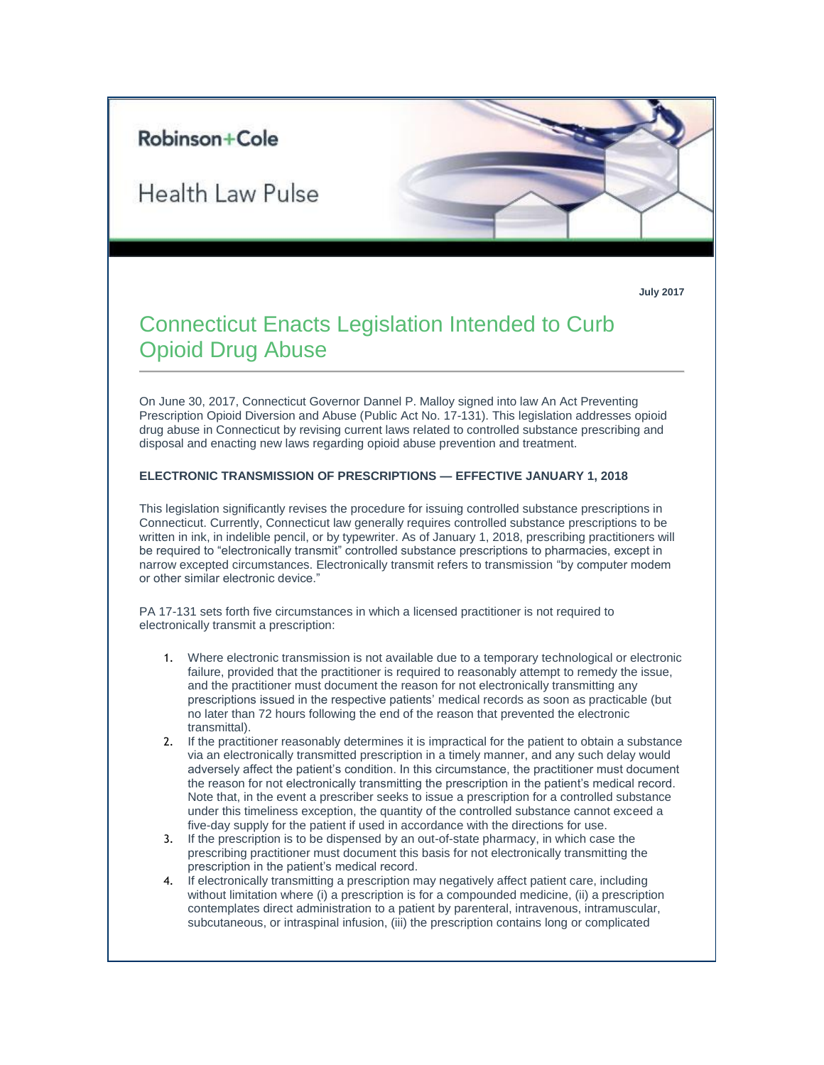# Robinson+Cole

**Health Law Pulse** 

**July 2017**

# Connecticut Enacts Legislation Intended to Curb Opioid Drug Abuse

On June 30, 2017, Connecticut Governor Dannel P. Malloy signed into law An Act Preventing Prescription Opioid Diversion and Abuse (Public Act No. 17-131). This legislation addresses opioid drug abuse in Connecticut by revising current laws related to controlled substance prescribing and disposal and enacting new laws regarding opioid abuse prevention and treatment.

#### **ELECTRONIC TRANSMISSION OF PRESCRIPTIONS — EFFECTIVE JANUARY 1, 2018**

This legislation significantly revises the procedure for issuing controlled substance prescriptions in Connecticut. Currently, Connecticut law generally requires controlled substance prescriptions to be written in ink, in indelible pencil, or by typewriter. As of January 1, 2018, prescribing practitioners will be required to "electronically transmit" controlled substance prescriptions to pharmacies, except in narrow excepted circumstances. Electronically transmit refers to transmission "by computer modem or other similar electronic device."

PA 17-131 sets forth five circumstances in which a licensed practitioner is not required to electronically transmit a prescription:

- 1. Where electronic transmission is not available due to a temporary technological or electronic failure, provided that the practitioner is required to reasonably attempt to remedy the issue, and the practitioner must document the reason for not electronically transmitting any prescriptions issued in the respective patients' medical records as soon as practicable (but no later than 72 hours following the end of the reason that prevented the electronic transmittal).
- 2. If the practitioner reasonably determines it is impractical for the patient to obtain a substance via an electronically transmitted prescription in a timely manner, and any such delay would adversely affect the patient's condition. In this circumstance, the practitioner must document the reason for not electronically transmitting the prescription in the patient's medical record. Note that, in the event a prescriber seeks to issue a prescription for a controlled substance under this timeliness exception, the quantity of the controlled substance cannot exceed a five-day supply for the patient if used in accordance with the directions for use.
- 3. If the prescription is to be dispensed by an out-of-state pharmacy, in which case the prescribing practitioner must document this basis for not electronically transmitting the prescription in the patient's medical record.
- 4. If electronically transmitting a prescription may negatively affect patient care, including without limitation where (i) a prescription is for a compounded medicine, (ii) a prescription contemplates direct administration to a patient by parenteral, intravenous, intramuscular, subcutaneous, or intraspinal infusion, (iii) the prescription contains long or complicated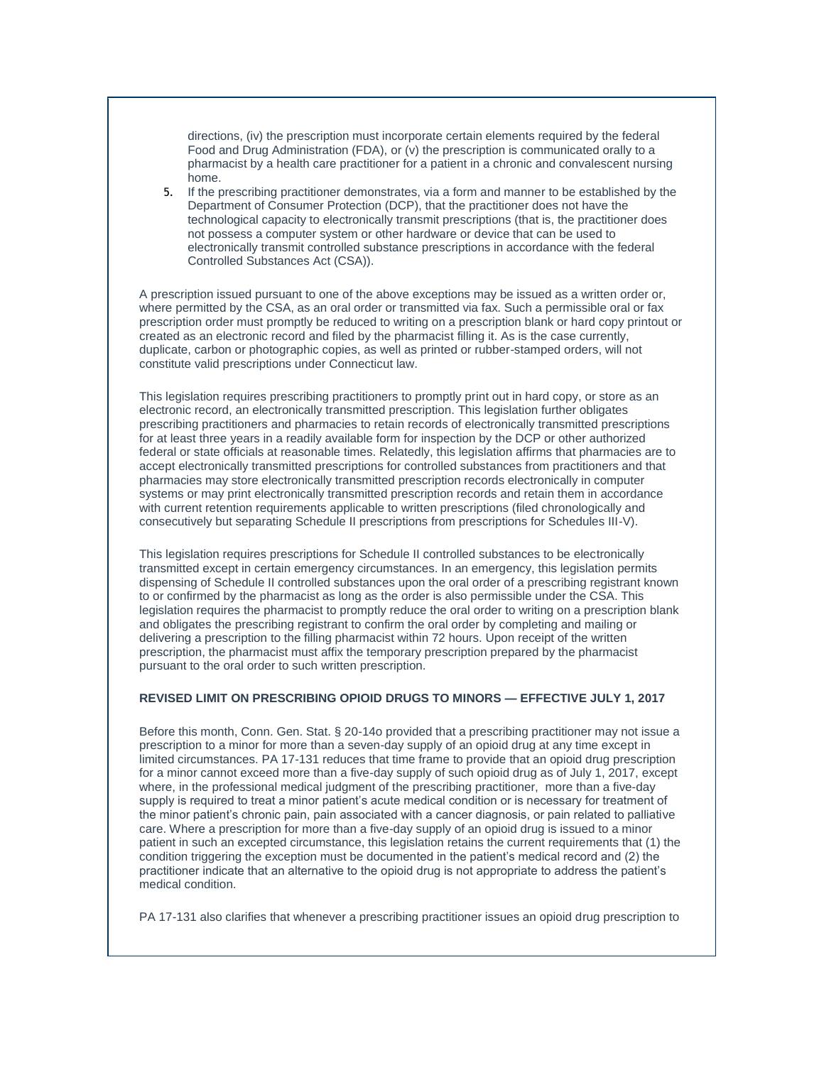directions, (iv) the prescription must incorporate certain elements required by the federal Food and Drug Administration (FDA), or (v) the prescription is communicated orally to a pharmacist by a health care practitioner for a patient in a chronic and convalescent nursing home.

5. If the prescribing practitioner demonstrates, via a form and manner to be established by the Department of Consumer Protection (DCP), that the practitioner does not have the technological capacity to electronically transmit prescriptions (that is, the practitioner does not possess a computer system or other hardware or device that can be used to electronically transmit controlled substance prescriptions in accordance with the federal Controlled Substances Act (CSA)).

A prescription issued pursuant to one of the above exceptions may be issued as a written order or, where permitted by the CSA, as an oral order or transmitted via fax. Such a permissible oral or fax prescription order must promptly be reduced to writing on a prescription blank or hard copy printout or created as an electronic record and filed by the pharmacist filling it. As is the case currently, duplicate, carbon or photographic copies, as well as printed or rubber-stamped orders, will not constitute valid prescriptions under Connecticut law.

This legislation requires prescribing practitioners to promptly print out in hard copy, or store as an electronic record, an electronically transmitted prescription. This legislation further obligates prescribing practitioners and pharmacies to retain records of electronically transmitted prescriptions for at least three years in a readily available form for inspection by the DCP or other authorized federal or state officials at reasonable times. Relatedly, this legislation affirms that pharmacies are to accept electronically transmitted prescriptions for controlled substances from practitioners and that pharmacies may store electronically transmitted prescription records electronically in computer systems or may print electronically transmitted prescription records and retain them in accordance with current retention requirements applicable to written prescriptions (filed chronologically and consecutively but separating Schedule II prescriptions from prescriptions for Schedules III-V).

This legislation requires prescriptions for Schedule II controlled substances to be electronically transmitted except in certain emergency circumstances. In an emergency, this legislation permits dispensing of Schedule II controlled substances upon the oral order of a prescribing registrant known to or confirmed by the pharmacist as long as the order is also permissible under the CSA. This legislation requires the pharmacist to promptly reduce the oral order to writing on a prescription blank and obligates the prescribing registrant to confirm the oral order by completing and mailing or delivering a prescription to the filling pharmacist within 72 hours. Upon receipt of the written prescription, the pharmacist must affix the temporary prescription prepared by the pharmacist pursuant to the oral order to such written prescription.

## **REVISED LIMIT ON PRESCRIBING OPIOID DRUGS TO MINORS — EFFECTIVE JULY 1, 2017**

Before this month, Conn. Gen. Stat. § 20-14o provided that a prescribing practitioner may not issue a prescription to a minor for more than a seven-day supply of an opioid drug at any time except in limited circumstances. PA 17-131 reduces that time frame to provide that an opioid drug prescription for a minor cannot exceed more than a five-day supply of such opioid drug as of July 1, 2017, except where, in the professional medical judgment of the prescribing practitioner, more than a five-day supply is required to treat a minor patient's acute medical condition or is necessary for treatment of the minor patient's chronic pain, pain associated with a cancer diagnosis, or pain related to palliative care. Where a prescription for more than a five-day supply of an opioid drug is issued to a minor patient in such an excepted circumstance, this legislation retains the current requirements that (1) the condition triggering the exception must be documented in the patient's medical record and (2) the practitioner indicate that an alternative to the opioid drug is not appropriate to address the patient's medical condition.

PA 17-131 also clarifies that whenever a prescribing practitioner issues an opioid drug prescription to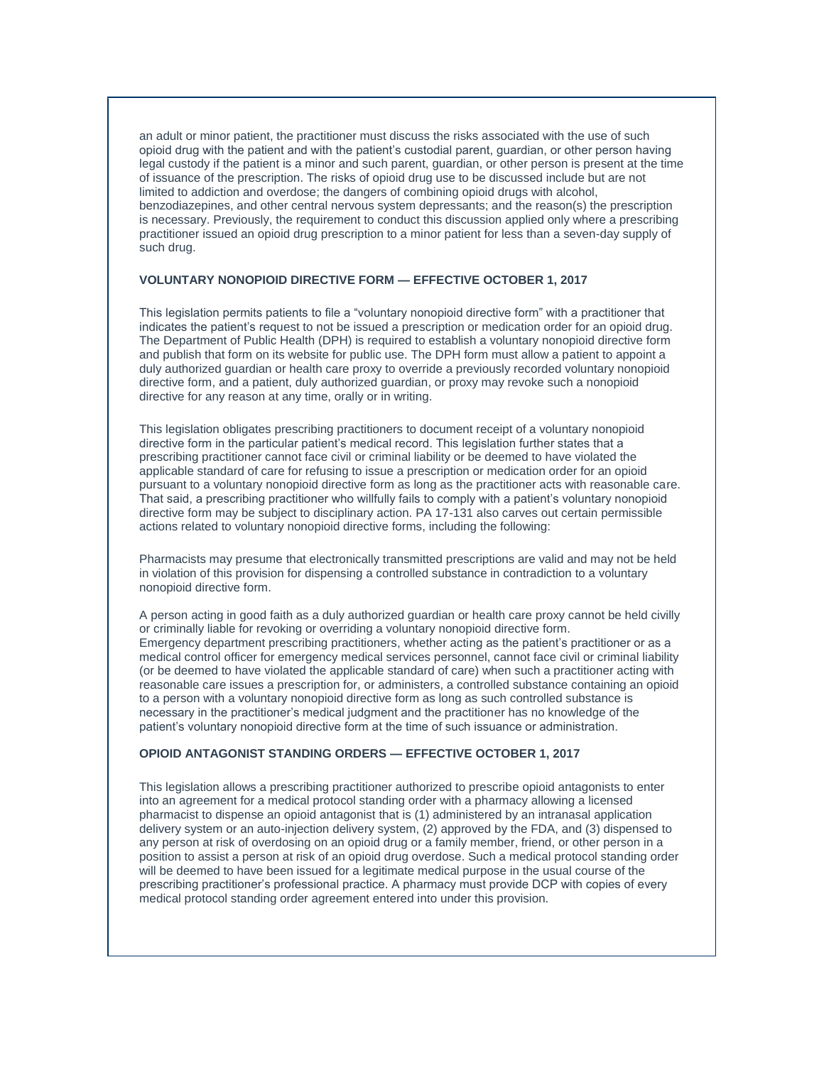an adult or minor patient, the practitioner must discuss the risks associated with the use of such opioid drug with the patient and with the patient's custodial parent, guardian, or other person having legal custody if the patient is a minor and such parent, guardian, or other person is present at the time of issuance of the prescription. The risks of opioid drug use to be discussed include but are not limited to addiction and overdose; the dangers of combining opioid drugs with alcohol, benzodiazepines, and other central nervous system depressants; and the reason(s) the prescription is necessary. Previously, the requirement to conduct this discussion applied only where a prescribing practitioner issued an opioid drug prescription to a minor patient for less than a seven-day supply of such drug.

#### **VOLUNTARY NONOPIOID DIRECTIVE FORM — EFFECTIVE OCTOBER 1, 2017**

This legislation permits patients to file a "voluntary nonopioid directive form" with a practitioner that indicates the patient's request to not be issued a prescription or medication order for an opioid drug. The Department of Public Health (DPH) is required to establish a voluntary nonopioid directive form and publish that form on its website for public use. The DPH form must allow a patient to appoint a duly authorized guardian or health care proxy to override a previously recorded voluntary nonopioid directive form, and a patient, duly authorized guardian, or proxy may revoke such a nonopioid directive for any reason at any time, orally or in writing.

This legislation obligates prescribing practitioners to document receipt of a voluntary nonopioid directive form in the particular patient's medical record. This legislation further states that a prescribing practitioner cannot face civil or criminal liability or be deemed to have violated the applicable standard of care for refusing to issue a prescription or medication order for an opioid pursuant to a voluntary nonopioid directive form as long as the practitioner acts with reasonable care. That said, a prescribing practitioner who willfully fails to comply with a patient's voluntary nonopioid directive form may be subject to disciplinary action. PA 17-131 also carves out certain permissible actions related to voluntary nonopioid directive forms, including the following:

Pharmacists may presume that electronically transmitted prescriptions are valid and may not be held in violation of this provision for dispensing a controlled substance in contradiction to a voluntary nonopioid directive form.

A person acting in good faith as a duly authorized guardian or health care proxy cannot be held civilly or criminally liable for revoking or overriding a voluntary nonopioid directive form. Emergency department prescribing practitioners, whether acting as the patient's practitioner or as a medical control officer for emergency medical services personnel, cannot face civil or criminal liability (or be deemed to have violated the applicable standard of care) when such a practitioner acting with reasonable care issues a prescription for, or administers, a controlled substance containing an opioid to a person with a voluntary nonopioid directive form as long as such controlled substance is necessary in the practitioner's medical judgment and the practitioner has no knowledge of the patient's voluntary nonopioid directive form at the time of such issuance or administration.

### **OPIOID ANTAGONIST STANDING ORDERS — EFFECTIVE OCTOBER 1, 2017**

This legislation allows a prescribing practitioner authorized to prescribe opioid antagonists to enter into an agreement for a medical protocol standing order with a pharmacy allowing a licensed pharmacist to dispense an opioid antagonist that is (1) administered by an intranasal application delivery system or an auto-injection delivery system, (2) approved by the FDA, and (3) dispensed to any person at risk of overdosing on an opioid drug or a family member, friend, or other person in a position to assist a person at risk of an opioid drug overdose. Such a medical protocol standing order will be deemed to have been issued for a legitimate medical purpose in the usual course of the prescribing practitioner's professional practice. A pharmacy must provide DCP with copies of every medical protocol standing order agreement entered into under this provision.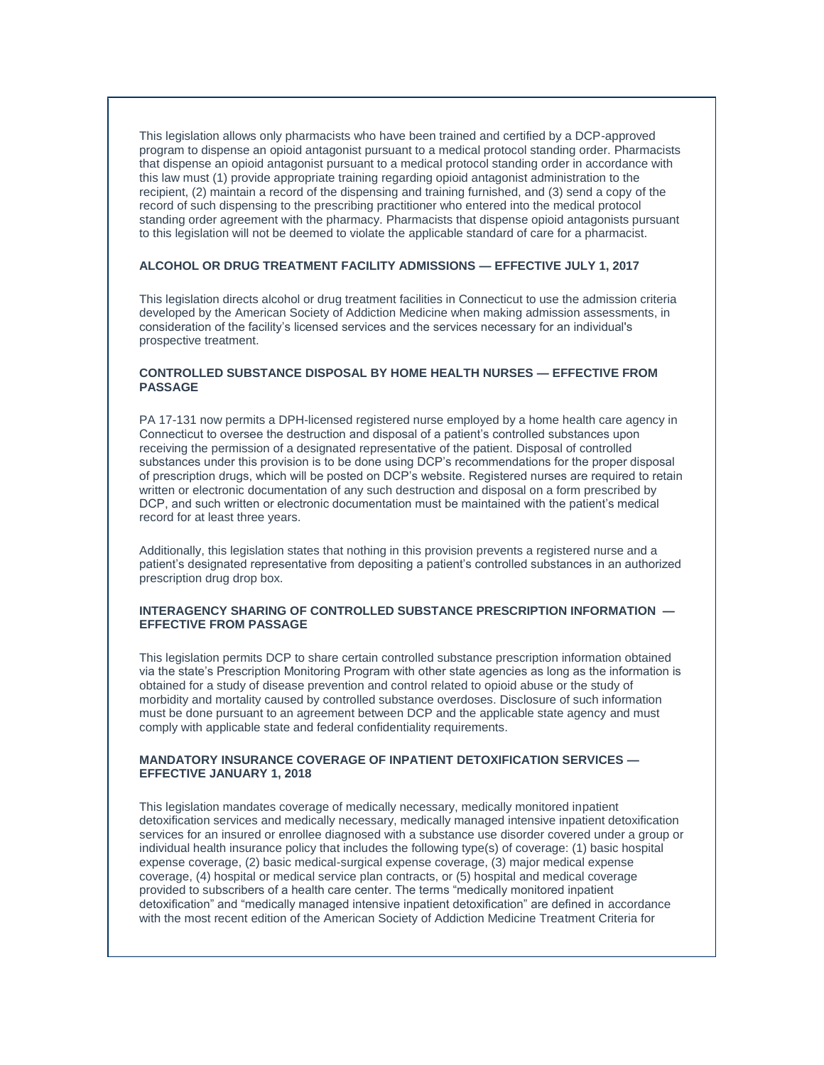This legislation allows only pharmacists who have been trained and certified by a DCP-approved program to dispense an opioid antagonist pursuant to a medical protocol standing order. Pharmacists that dispense an opioid antagonist pursuant to a medical protocol standing order in accordance with this law must (1) provide appropriate training regarding opioid antagonist administration to the recipient, (2) maintain a record of the dispensing and training furnished, and (3) send a copy of the record of such dispensing to the prescribing practitioner who entered into the medical protocol standing order agreement with the pharmacy. Pharmacists that dispense opioid antagonists pursuant to this legislation will not be deemed to violate the applicable standard of care for a pharmacist.

#### **ALCOHOL OR DRUG TREATMENT FACILITY ADMISSIONS — EFFECTIVE JULY 1, 2017**

This legislation directs alcohol or drug treatment facilities in Connecticut to use the admission criteria developed by the American Society of Addiction Medicine when making admission assessments, in consideration of the facility's licensed services and the services necessary for an individual's prospective treatment.

#### **CONTROLLED SUBSTANCE DISPOSAL BY HOME HEALTH NURSES — EFFECTIVE FROM PASSAGE**

PA 17-131 now permits a DPH-licensed registered nurse employed by a home health care agency in Connecticut to oversee the destruction and disposal of a patient's controlled substances upon receiving the permission of a designated representative of the patient. Disposal of controlled substances under this provision is to be done using DCP's recommendations for the proper disposal of prescription drugs, which will be posted on DCP's website. Registered nurses are required to retain written or electronic documentation of any such destruction and disposal on a form prescribed by DCP, and such written or electronic documentation must be maintained with the patient's medical record for at least three years.

Additionally, this legislation states that nothing in this provision prevents a registered nurse and a patient's designated representative from depositing a patient's controlled substances in an authorized prescription drug drop box.

#### **INTERAGENCY SHARING OF CONTROLLED SUBSTANCE PRESCRIPTION INFORMATION — EFFECTIVE FROM PASSAGE**

This legislation permits DCP to share certain controlled substance prescription information obtained via the state's Prescription Monitoring Program with other state agencies as long as the information is obtained for a study of disease prevention and control related to opioid abuse or the study of morbidity and mortality caused by controlled substance overdoses. Disclosure of such information must be done pursuant to an agreement between DCP and the applicable state agency and must comply with applicable state and federal confidentiality requirements.

#### **MANDATORY INSURANCE COVERAGE OF INPATIENT DETOXIFICATION SERVICES — EFFECTIVE JANUARY 1, 2018**

This legislation mandates coverage of medically necessary, medically monitored inpatient detoxification services and medically necessary, medically managed intensive inpatient detoxification services for an insured or enrollee diagnosed with a substance use disorder covered under a group or individual health insurance policy that includes the following type(s) of coverage: (1) basic hospital expense coverage, (2) basic medical-surgical expense coverage, (3) major medical expense coverage, (4) hospital or medical service plan contracts, or (5) hospital and medical coverage provided to subscribers of a health care center. The terms "medically monitored inpatient detoxification" and "medically managed intensive inpatient detoxification" are defined in accordance with the most recent edition of the American Society of Addiction Medicine Treatment Criteria for